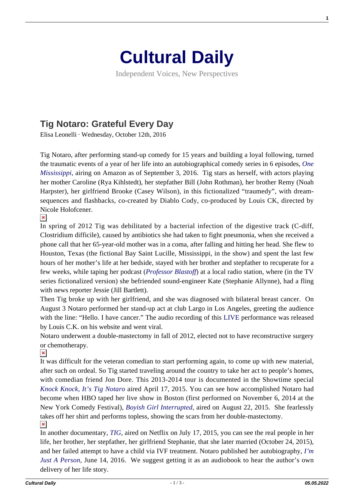

Independent Voices, New Perspectives

## **[Tig Notaro: Grateful Every Day](https://culturaldaily.com/tig-notaro-grateful-every-day/)**

Elisa Leonelli · Wednesday, October 12th, 2016

Tig Notaro, after performing stand-up comedy for 15 years and building a loyal following, turned the traumatic events of a year of her life into an autobiographical comedy series in 6 episodes, *[One](https://www.youtube.com/watch?v=Cb5VUOalPjk) [Mississippi](https://www.youtube.com/watch?v=Cb5VUOalPjk)*[,](https://www.youtube.com/watch?v=Cb5VUOalPjk) airing on Amazon as of September 3, 2016. Tig stars as herself, with actors playing her mother Caroline (Rya Kihlstedt), her stepfather Bill (John Rothman), her brother Remy (Noah Harpster), her girlfriend Brooke (Casey Wilson), in this fictionalized "traumedy", with dreamsequences and flashbacks, co-created by Diablo Cody, co-produced by Louis CK, directed by Nicole Holofcener.

## $\pmb{\times}$

In spring of 2012 Tig was debilitated by a bacterial infection of the digestive track (C-diff, Clostridium difficile), caused by antibiotics she had taken to fight pneumonia, when she received a phone call that her 65-year-old mother was in a coma, after falling and hitting her head. She flew to Houston, Texas (the fictional Bay Saint Lucille, Mississippi, in the show) and spent the last few hours of her mother's life at her bedside, stayed with her brother and stepfather to recuperate for a few weeks, while taping her podcast (*[Professor Blastoff](https://soundcloud.com/professorblastoff)*) at a local radio station, where (in the TV series fictionalized version) she befriended sound-engineer Kate (Stephanie Allynne), had a fling with news reporter Jessie (Jill Bartlett).

Then Tig broke up with her girlfriend, and she was diagnosed with bilateral breast cancer. On August 3 Notaro performed her stand-up act at club Largo in Los Angeles, greeting the audience with the line: "Hello. I have cancer." The audio recording of this [LIVE](https://itunes.apple.com/us/album/live-deluxe-version/id666519148) performance was released by Louis C.K. on his website and went viral.

Notaro underwent a double-mastectomy in fall of 2012, elected not to have reconstructive surgery or chemotherapy.

 $\pmb{\times}$ 

It was difficult for the veteran comedian to start performing again, to come up with new material, after such on ordeal. So Tig started traveling around the country to take her act to people's homes, with comedian friend Jon Dore. This 2013-2014 tour is documented in the Showtime special *[Knock Knock, It's Tig Notaro](https://www.youtube.com/watch?v=7wQXTt1l77w)* aired April 17, 2015. You can see how accomplished Notaro had become when HBO taped her live show in Boston (first performed on November 6, 2014 at the New York Comedy Festival), *[Boyish Girl Interrupted](http://www.avclub.com/review/spoiler-space-tig-notaro-boyish-girl-interrupted-224077)*, aired on August 22, 2015. She fearlessly takes off her shirt and performs topless, showing the scars from her double-mastectomy.  $\pmb{\times}$ 

In another documentary, *[TIG](https://www.youtube.com/watch?v=eO7kJ0j4Qzw)*, aired on Netflix on July 17, 2015, you can see the real people in her life, her brother, her stepfather, her girlfriend Stephanie, that she later married (October 24, 2015), and her failed attempt to have a child via IVF treatment. Notaro published her autobiography, *[I'm](http://www.audible.com/pd/Bios-Memoirs/Im-Just-a-Person-Audiobook/B01EGHBLXC) [Just A Person](http://www.audible.com/pd/Bios-Memoirs/Im-Just-a-Person-Audiobook/B01EGHBLXC)*, June 14, 2016. We suggest getting it as an audiobook to hear the author's own delivery of her life story.

**1**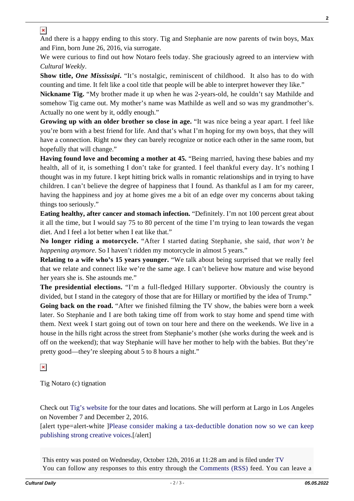## $\pmb{\times}$

And there is a happy ending to this story. Tig and Stephanie are now parents of twin boys, Max and Finn, born June 26, 2016, via surrogate.

We were curious to find out how Notaro feels today. She graciously agreed to an interview with *Cultural Weekly*.

**Show title,** *One Mississipi***.** "It's nostalgic, reminiscent of childhood. It also has to do with counting and time. It felt like a cool title that people will be able to interpret however they like."

**Nickname Tig.** "My brother made it up when he was 2-years-old, he couldn't say Mathilde and somehow Tig came out. My mother's name was Mathilde as well and so was my grandmother's. Actually no one went by it, oddly enough."

**Growing up with an older brother so close in age.** "It was nice being a year apart. I feel like you're born with a best friend for life. And that's what I'm hoping for my own boys, that they will have a connection. Right now they can barely recognize or notice each other in the same room, but hopefully that will change."

**Having found love and becoming a mother at 45.** "Being married, having these babies and my health, all of it, is something I don't take for granted. I feel thankful every day. It's nothing I thought was in my future. I kept hitting brick walls in romantic relationships and in trying to have children. I can't believe the degree of happiness that I found. As thankful as I am for my career, having the happiness and joy at home gives me a bit of an edge over my concerns about taking things too seriously."

**Eating healthy, after cancer and stomach infection.** "Definitely. I'm not 100 percent great about it all the time, but I would say 75 to 80 percent of the time I'm trying to lean towards the vegan diet. And I feel a lot better when I eat like that."

**No longer riding a motorcycle.** "After I started dating Stephanie, she said, *that won't be happening anymore*. So I haven't ridden my motorcycle in almost 5 years."

**Relating to a wife who's 15 years younger.** "We talk about being surprised that we really feel that we relate and connect like we're the same age. I can't believe how mature and wise beyond her years she is. She astounds me."

**The presidential elections.** "I'm a full-fledged Hillary supporter. Obviously the country is divided, but I stand in the category of those that are for Hillary or mortified by the idea of Trump."

Going back on the road. "After we finished filming the TV show, the babies were born a week later. So Stephanie and I are both taking time off from work to stay home and spend time with them. Next week I start going out of town on tour here and there on the weekends. We live in a house in the hills right across the street from Stephanie's mother (she works during the week and is off on the weekend); that way Stephanie will have her mother to help with the babies. But they're pretty good—they're sleeping about 5 to 8 hours a night."

## $\pmb{\times}$

Tig Notaro (c) tignation

Check out [Tig's website](http://tignation.com/) for the tour dates and locations. She will perform at Largo in Los Angeles on November 7 and December 2, 2016.

[alert type=alert-white ][Please consider making a tax-deductible donation now so we can keep](https://nextecho.org/donate/) [publishing strong creative voices.](https://nextecho.org/donate/)[/alert]

This entry was posted on Wednesday, October 12th, 2016 at 11:28 am and is filed under [TV](https://culturaldaily.com/category/media/tv/) You can follow any responses to this entry through the [Comments \(RSS\)](https://culturaldaily.com/comments/feed/) feed. You can leave a